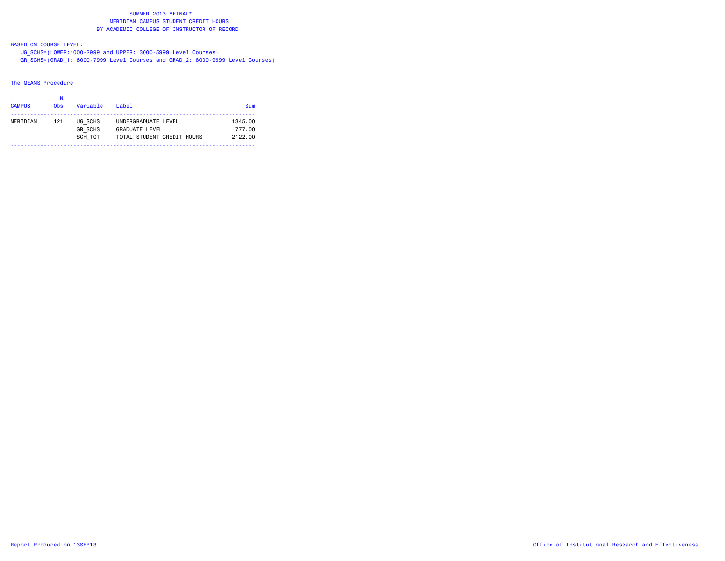# BASED ON COURSE LEVEL:

 UG\_SCHS=(LOWER:1000-2999 and UPPER: 3000-5999 Level Courses) GR\_SCHS=(GRAD\_1: 6000-7999 Level Courses and GRAD\_2: 8000-9999 Level Courses)

#### The MEANS Procedure

| <b>CAMPUS</b> | 0 <sub>bs</sub> | Variable                             | $I$ ahel                                                                   | <b>Sum</b>                   |
|---------------|-----------------|--------------------------------------|----------------------------------------------------------------------------|------------------------------|
| MERIDIAN      | 121             | UG SCHS<br><b>GR SCHS</b><br>SCH TOT | UNDERGRADUATE LEVEL<br><b>GRADUATE LEVEL</b><br>TOTAL STUDENT CREDIT HOURS | 1345.00<br>777.00<br>2122.00 |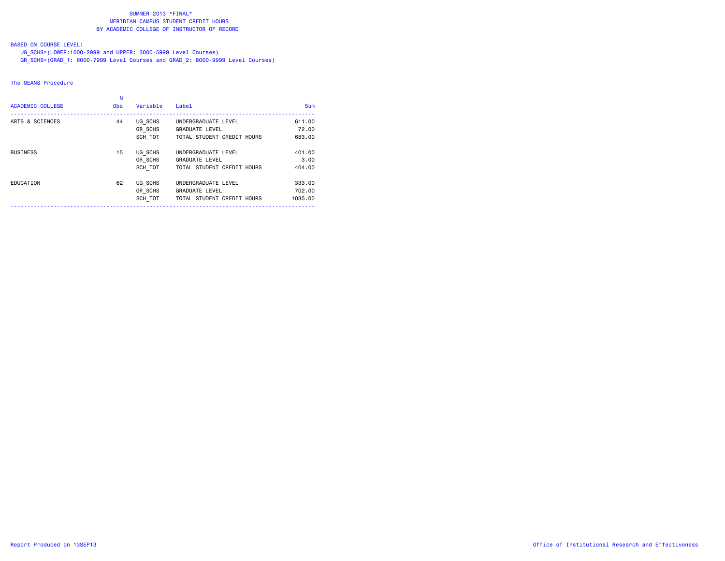## BASED ON COURSE LEVEL:

 UG\_SCHS=(LOWER:1000-2999 and UPPER: 3000-5999 Level Courses) GR\_SCHS=(GRAD\_1: 6000-7999 Level Courses and GRAD\_2: 8000-9999 Level Courses)

#### The MEANS Procedure

| <b>ACADEMIC COLLEGE</b> | N<br><b>Obs</b> | Variable                             | Label                                                                      | <b>Sum</b>                  |
|-------------------------|-----------------|--------------------------------------|----------------------------------------------------------------------------|-----------------------------|
| ARTS & SCIENCES         | 44              | UG SCHS<br><b>GR SCHS</b><br>SCH TOT | UNDERGRADUATE LEVEL<br><b>GRADUATE LEVEL</b><br>TOTAL STUDENT CREDIT HOURS | 611.00<br>72.00<br>683.00   |
| <b>BUSINESS</b>         | 15              | UG SCHS<br><b>GR SCHS</b><br>SCH TOT | UNDERGRADUATE LEVEL<br><b>GRADUATE LEVEL</b><br>TOTAL STUDENT CREDIT HOURS | 401.00<br>3,00<br>404.00    |
| EDUCATION               | 62              | UG SCHS<br><b>GR SCHS</b><br>SCH TOT | UNDERGRADUATE LEVEL<br><b>GRADUATE LEVEL</b><br>TOTAL STUDENT CREDIT HOURS | 333.00<br>702.00<br>1035.00 |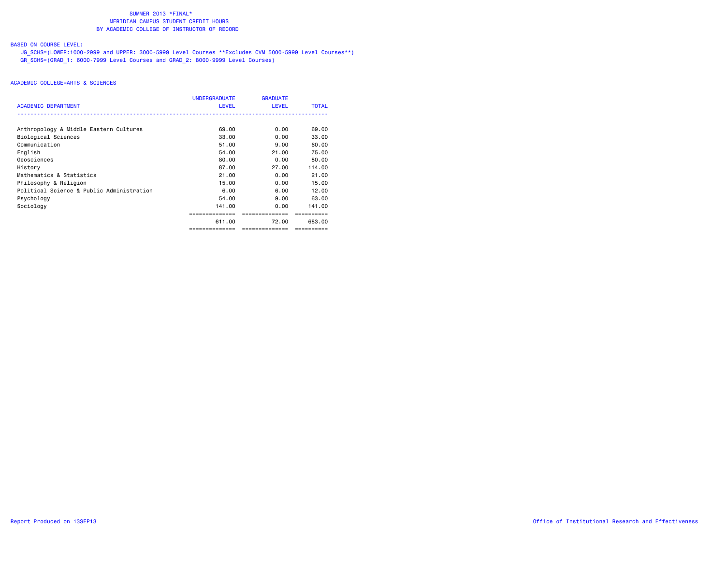# BASED ON COURSE LEVEL:

 UG\_SCHS=(LOWER:1000-2999 and UPPER: 3000-5999 Level Courses \*\*Excludes CVM 5000-5999 Level Courses\*\*) GR\_SCHS=(GRAD\_1: 6000-7999 Level Courses and GRAD\_2: 8000-9999 Level Courses)

|                                           | <b>UNDERGRADUATE</b> | <b>GRADUATE</b> |              |
|-------------------------------------------|----------------------|-----------------|--------------|
| <b>ACADEMIC DEPARTMENT</b>                | <b>LEVEL</b>         | <b>LEVEL</b>    | <b>TOTAL</b> |
|                                           |                      |                 |              |
| Anthropology & Middle Eastern Cultures    | 69.00                | 0.00            | 69.00        |
| Biological Sciences                       | 33.00                | 0.00            | 33.00        |
| Communication                             | 51.00                | 9.00            | 60.00        |
| English                                   | 54.00                | 21.00           | 75.00        |
| Geosciences                               | 80.00                | 0.00            | 80.00        |
| History                                   | 87.00                | 27.00           | 114.00       |
| Mathematics & Statistics                  | 21.00                | 0.00            | 21.00        |
| Philosophy & Religion                     | 15.00                | 0.00            | 15.00        |
| Political Science & Public Administration | 6.00                 | 6.00            | 12.00        |
| Psychology                                | 54.00                | 9.00            | 63.00        |
| Sociology                                 | 141.00               | 0.00            | 141.00       |
|                                           |                      |                 |              |
|                                           | 611.00               | 72.00           | 683.00       |
|                                           | ==============       | ==============  | ==========   |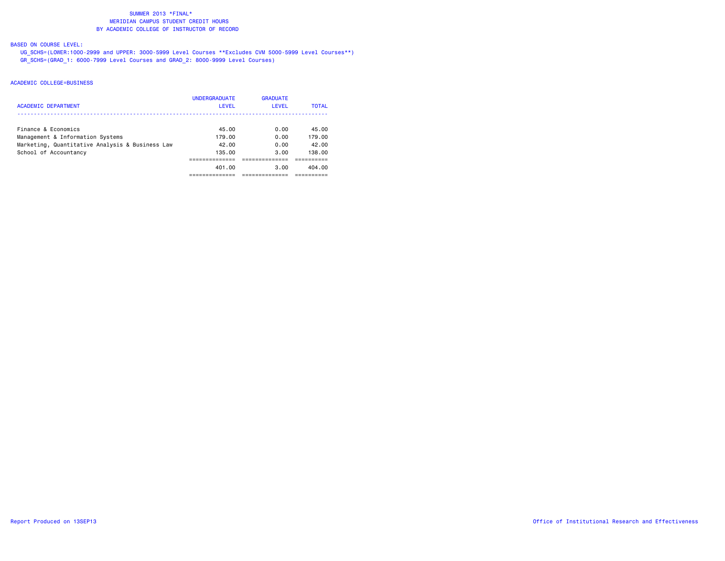# BASED ON COURSE LEVEL:

 UG\_SCHS=(LOWER:1000-2999 and UPPER: 3000-5999 Level Courses \*\*Excludes CVM 5000-5999 Level Courses\*\*) GR\_SCHS=(GRAD\_1: 6000-7999 Level Courses and GRAD\_2: 8000-9999 Level Courses)

|                                                 | <b>UNDERGRADUATE</b> | <b>GRADUATE</b> |              |
|-------------------------------------------------|----------------------|-----------------|--------------|
| <b>ACADEMIC DEPARTMENT</b>                      | <b>LEVEL</b>         | LEVEL           | <b>TOTAL</b> |
|                                                 |                      |                 |              |
| Finance & Economics                             | 45.00                | 0.00            | 45.00        |
| Management & Information Systems                | 179.00               | 0.00            | 179.00       |
| Marketing, Quantitative Analysis & Business Law | 42.00                | 0.00            | 42.00        |
| School of Accountancy                           | 135.00               | 3.00            | 138.00       |
|                                                 |                      |                 |              |
|                                                 | 401.00               | 3.00            | 404.00       |
|                                                 |                      |                 |              |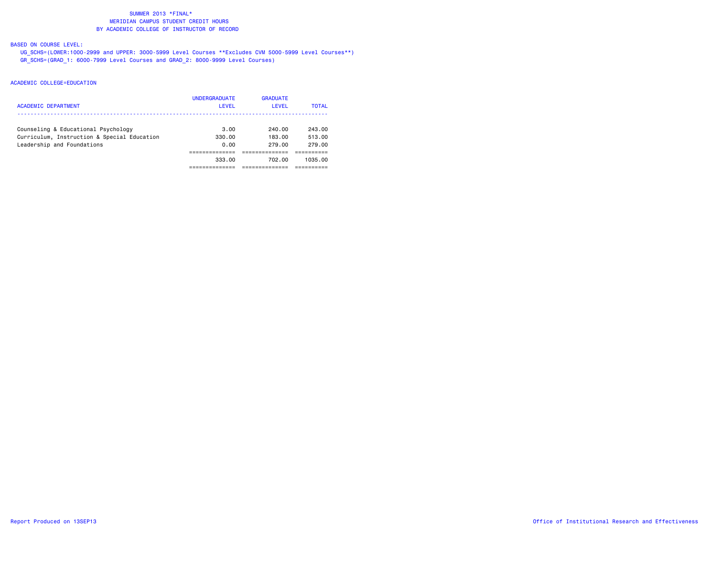# BASED ON COURSE LEVEL:

 UG\_SCHS=(LOWER:1000-2999 and UPPER: 3000-5999 Level Courses \*\*Excludes CVM 5000-5999 Level Courses\*\*) GR\_SCHS=(GRAD\_1: 6000-7999 Level Courses and GRAD\_2: 8000-9999 Level Courses)

| ACADEMIC DEPARTMENT                                                       | <b>UNDERGRADUATE</b><br><b>LEVEL</b> | <b>GRADUATE</b><br>LEVEL | <b>TOTAL</b>     |
|---------------------------------------------------------------------------|--------------------------------------|--------------------------|------------------|
| Counseling & Educational Psychology                                       | 3.00                                 | 240.00                   | 243.00           |
| Curriculum, Instruction & Special Education<br>Leadership and Foundations | 330.00<br>0.00                       | 183.00<br>279.00         | 513.00<br>279.00 |
|                                                                           |                                      |                          |                  |
|                                                                           | 333.00                               | 702.00                   | 1035.00          |
|                                                                           |                                      |                          |                  |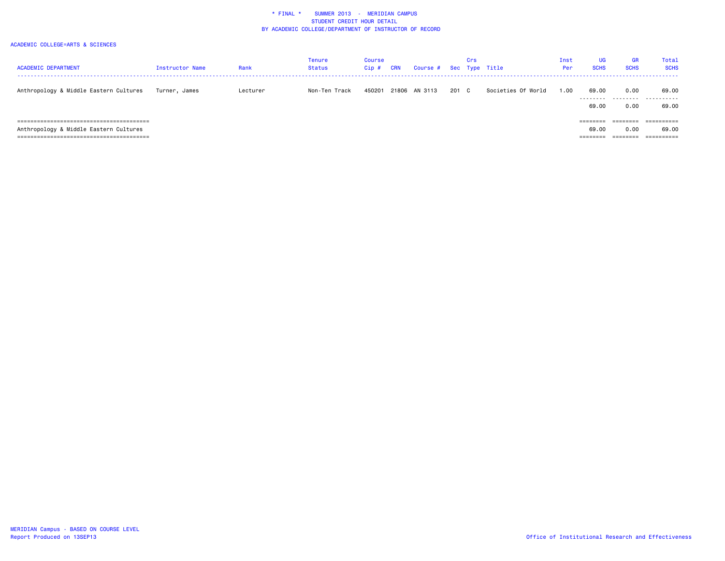| <b>ACADEMIC DEPARTMENT</b>             | <b>Instructor Name</b> | Rank     | <b>Tenure</b><br>Status | Course<br>$Cip$ # | <b>CRN</b> | Course # Sec Type Title |       | Crs |                    | Inst<br>Per | <b>UG</b><br><b>SCHS</b> | GR<br><b>SCHS</b> | <b>Total</b><br><b>SCHS</b> |
|----------------------------------------|------------------------|----------|-------------------------|-------------------|------------|-------------------------|-------|-----|--------------------|-------------|--------------------------|-------------------|-----------------------------|
| Anthropology & Middle Eastern Cultures | Turner, James          | Lecturer | Non-Ten Track           | 450201            |            | 21806 AN 3113           | 201 C |     | Societies Of World | 1.00        | 69.00                    | 0.00              | 69.00<br>                   |
|                                        |                        |          |                         |                   |            |                         |       |     |                    |             | 69.00                    | 0.00              | 69.00                       |
|                                        |                        |          |                         |                   |            |                         |       |     |                    |             | --------                 | ========          | ==========                  |
| Anthropology & Middle Eastern Cultures |                        |          |                         |                   |            |                         |       |     |                    |             | 69.00                    | 0.00              | 69.00                       |
|                                        |                        |          |                         |                   |            |                         |       |     |                    |             | $=$ = = = = = = =        | ========          | ==========                  |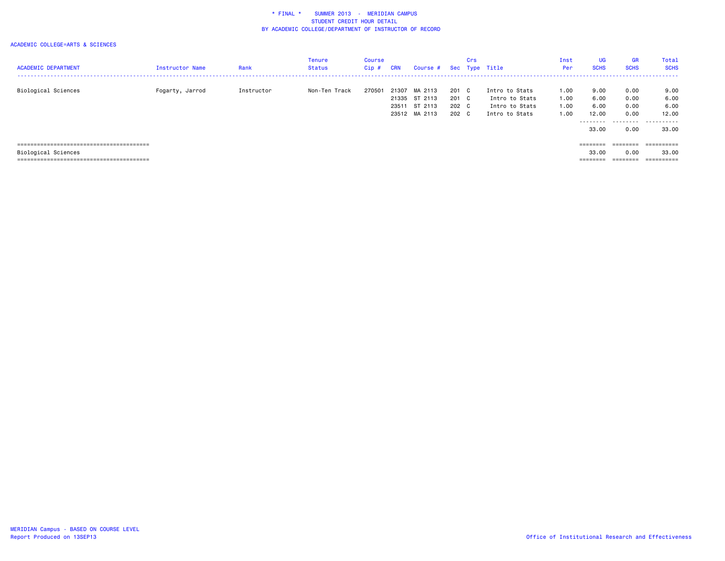#### ACADEMIC COLLEGE=ARTS & SCIENCES

| <b>ACADEMIC DEPARTMENT</b> | Instructor Name | Rank       | Tenure<br><b>Status</b> | <b>Course</b><br>$Cip$ # | <b>CRN</b> | Course #      |       | Crs | Sec Type Title | Inst<br>Per | <b>UG</b><br><b>SCHS</b> | <b>GR</b><br><b>SCHS</b> | Total<br><b>SCHS</b>                  |
|----------------------------|-----------------|------------|-------------------------|--------------------------|------------|---------------|-------|-----|----------------|-------------|--------------------------|--------------------------|---------------------------------------|
|                            |                 |            |                         |                          |            |               |       |     |                |             |                          |                          | ------------------------------------- |
| Biological Sciences        | Fogarty, Jarrod | Instructor | Non-Ten Track           | 270501                   | 21307      | MA 2113       | 201 C |     | Intro to Stats | 1.00        | 9.00                     | 0.00                     | 9.00                                  |
|                            |                 |            |                         |                          |            | 21335 ST 2113 | 201 C |     | Intro to Stats | 1.00        | 6.00                     | 0.00                     | 6.00                                  |
|                            |                 |            |                         |                          |            | 23511 ST 2113 | 202 C |     | Intro to Stats | 1.00        | 6.00                     | 0.00                     | 6.00                                  |
|                            |                 |            |                         |                          |            | 23512 MA 2113 | 202 C |     | Intro to Stats | 1.00        | 12.00                    | 0.00                     | 12.00                                 |
|                            |                 |            |                         |                          |            |               |       |     |                |             | ---------                |                          |                                       |
|                            |                 |            |                         |                          |            |               |       |     |                |             | 33.00                    | 0.00                     | 33.00                                 |
|                            |                 |            |                         |                          |            |               |       |     |                |             |                          |                          |                                       |
|                            |                 |            |                         |                          |            |               |       |     |                |             | ========                 | $=$ = = = = = = =        | ==========                            |
| Biological Sciences        |                 |            |                         |                          |            |               |       |     |                |             | 33.00                    | 0.00                     | 33.00                                 |
|                            |                 |            |                         |                          |            |               |       |     |                |             | --------<br>--------     | --------<br>--------     | ----------<br>----------              |

======================================== ======== ======== ==========

MERIDIAN Campus - BASED ON COURSE LEVEL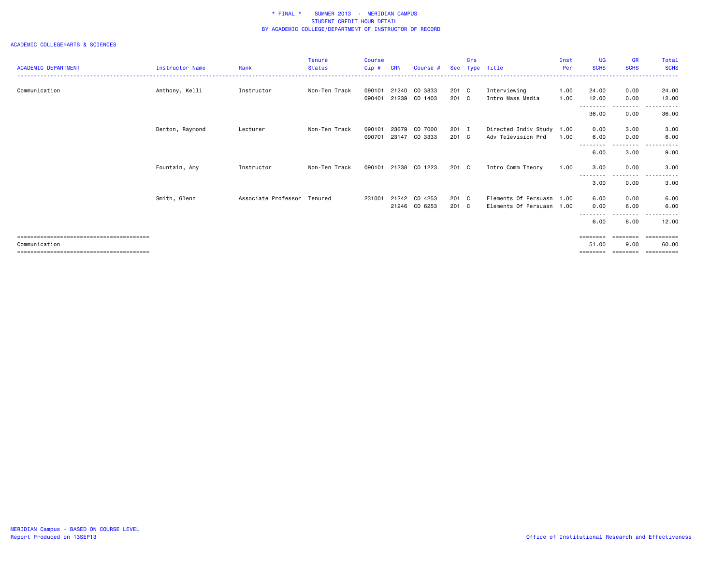#### ACADEMIC COLLEGE=ARTS & SCIENCES

|                            |                        |                             | <b>Tenure</b> | <b>Course</b> |            |               |            | Crs          |                           | Inst | <b>UG</b>         | <b>GR</b>                                                               | Total               |
|----------------------------|------------------------|-----------------------------|---------------|---------------|------------|---------------|------------|--------------|---------------------------|------|-------------------|-------------------------------------------------------------------------|---------------------|
| <b>ACADEMIC DEPARTMENT</b> | <b>Instructor Name</b> | Rank                        | <b>Status</b> | Cip#          | <b>CRN</b> | Course #      | <b>Sec</b> |              | Type Title                | Per  | <b>SCHS</b>       | <b>SCHS</b>                                                             | <b>SCHS</b>         |
|                            |                        |                             |               |               |            |               |            |              |                           |      |                   |                                                                         |                     |
| Communication              | Anthony, Kelli         | Instructor                  | Non-Ten Track | 090101        | 21240      | CO 3833       | 201 C      |              | Interviewing              | 1.00 | 24.00             | 0.00                                                                    | 24.00               |
|                            |                        |                             |               | 090401        | 21239      | CO 1403       | 201        | $\mathbf{C}$ | Intro Mass Media          | 1.00 | 12.00<br>-------- | 0.00<br>. <b>.</b> .                                                    | 12.00<br>------     |
|                            |                        |                             |               |               |            |               |            |              |                           |      | 36.00             | 0.00                                                                    | 36.00               |
|                            | Denton, Raymond        | Lecturer                    | Non-Ten Track | 090101        | 23679      | CO 7000       | 201        | п            | Directed Indiv Study 1.00 |      | 0.00              | 3.00                                                                    | 3.00                |
|                            |                        |                             |               | 090701        | 23147      | CO 3333       | 201 C      |              | Adv Television Prd        | 1.00 | 6.00              | 0.00                                                                    | 6.00                |
|                            |                        |                             |               |               |            |               |            |              |                           |      | 6.00              | . <b>.</b><br>3.00                                                      | 9.00                |
|                            | Fountain, Amy          | Instructor                  | Non-Ten Track | 090101        |            | 21238 CO 1223 | 201 C      |              | Intro Comm Theory         | 1.00 | 3.00              | 0.00                                                                    | 3.00                |
|                            |                        |                             |               |               |            |               |            |              |                           |      | ---------<br>3.00 | ---------<br>0.00                                                       | .<br>3.00           |
|                            | Smith, Glenn           | Associate Professor Tenured |               | 231001        | 21242      | CO 4253       | 201 C      |              | Elements Of Persuasn 1.00 |      | 6.00              | 0.00                                                                    | 6.00                |
|                            |                        |                             |               |               |            | 21246 CO 6253 | 201 C      |              | Elements Of Persuasn 1.00 |      | 0.00              | 6.00                                                                    | 6.00                |
|                            |                        |                             |               |               |            |               |            |              |                           |      | --------<br>6.00  | .<br>6.00                                                               | ----------<br>12.00 |
|                            |                        |                             |               |               |            |               |            |              |                           |      | ========          | $\qquad \qquad \equiv \equiv \equiv \equiv \equiv \equiv \equiv \equiv$ | ==========          |
| Communication              |                        |                             |               |               |            |               |            |              |                           |      | 51.00             | 9.00                                                                    | 60.00               |

======================================== ======== ======== ==========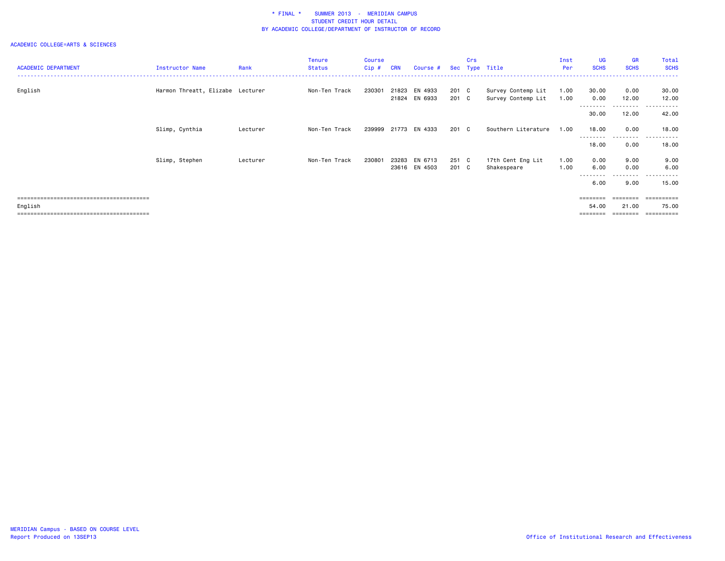|                            |                                  |          | <b>Tenure</b> | <b>Course</b> |            |                      |       | Crs |                     | Inst | <b>UG</b>   | GR          | Total          |
|----------------------------|----------------------------------|----------|---------------|---------------|------------|----------------------|-------|-----|---------------------|------|-------------|-------------|----------------|
| <b>ACADEMIC DEPARTMENT</b> | Instructor Name                  | Rank     | <b>Status</b> | Cip#          | <b>CRN</b> | Course #             |       |     | Sec Type Title      | Per  | <b>SCHS</b> | <b>SCHS</b> | <b>SCHS</b>    |
|                            |                                  |          |               |               |            |                      |       |     |                     |      |             |             |                |
|                            |                                  |          |               |               |            |                      |       |     |                     |      |             |             |                |
| English                    | Harmon Threatt, Elizabe Lecturer |          | Non-Ten Track | 230301        | 21823      | EN 4933              | 201 C |     | Survey Contemp Lit  | 1.00 | 30.00       | 0.00        | 30.00          |
|                            |                                  |          |               |               |            | 21824 EN 6933        | 201 C |     | Survey Contemp Lit  | 1.00 | 0.00        | 12.00       | 12.00          |
|                            |                                  |          |               |               |            |                      |       |     |                     |      | ---------   | ---------   | ------<br>---- |
|                            |                                  |          |               |               |            |                      |       |     |                     |      | 30.00       | 12.00       | 42.00          |
|                            |                                  |          |               |               |            |                      |       |     |                     |      |             |             |                |
|                            | Slimp, Cynthia                   | Lecturer | Non-Ten Track |               |            | 239999 21773 EN 4333 | 201 C |     | Southern Literature | 1.00 | 18,00       | 0.00        | 18.00          |
|                            |                                  |          |               |               |            |                      |       |     |                     |      | ---------   | ---------   | .<br>$  -$     |
|                            |                                  |          |               |               |            |                      |       |     |                     |      | 18.00       | 0.00        | 18.00          |
|                            |                                  |          |               |               |            |                      |       |     |                     |      |             |             |                |
|                            | Slimp, Stephen                   | Lecturer | Non-Ten Track | 230801        | 23283      | EN 6713              | 251 C |     | 17th Cent Eng Lit   | 1.00 | 0.00        | 9.00        | 9.00           |
|                            |                                  |          |               |               | 23616      | EN 4503              | 201 C |     | Shakespeare         | 1.00 | 6.00        | 0.00        | 6.00           |
|                            |                                  |          |               |               |            |                      |       |     |                     |      |             | $\cdots$    | .              |
|                            |                                  |          |               |               |            |                      |       |     |                     |      |             |             |                |
|                            |                                  |          |               |               |            |                      |       |     |                     |      | 6.00        | 9.00        | 15.00          |
|                            |                                  |          |               |               |            |                      |       |     |                     |      |             |             |                |
|                            |                                  |          |               |               |            |                      |       |     |                     |      | ========    | ========    | ==========     |
| English                    |                                  |          |               |               |            |                      |       |     |                     |      | 54.00       | 21.00       | 75.00          |
|                            |                                  |          |               |               |            |                      |       |     |                     |      | ========    | ========    |                |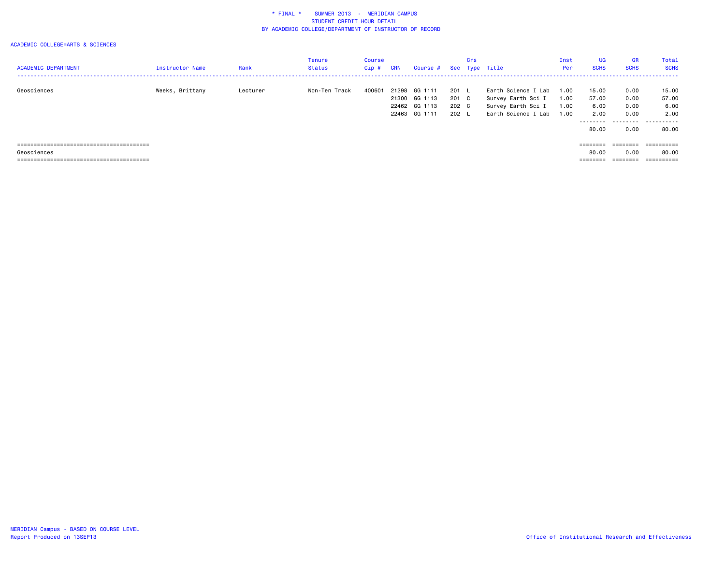#### ACADEMIC COLLEGE=ARTS & SCIENCES

| <b>ACADEMIC DEPARTMENT</b> | Instructor Name | Rank     | <b>Tenure</b><br>Status | Course<br>Cip# | CRN   | Course # Sec Type Title |       | Crs |                     | Inst<br>Per | <b>UG</b><br><b>SCHS</b> | <b>GR</b><br><b>SCHS</b> | Total<br><b>SCHS</b> |
|----------------------------|-----------------|----------|-------------------------|----------------|-------|-------------------------|-------|-----|---------------------|-------------|--------------------------|--------------------------|----------------------|
| Geosciences                | Weeks, Brittany | Lecturer | Non-Ten Track           | 400601         | 21298 | GG 1111                 | 201   |     | Earth Science I Lab | 1.00        | 15.00                    | 0.00                     | 15.00                |
|                            |                 |          |                         |                |       | 21300 GG 1113           | 201 C |     | Survey Earth Sci I  | 1.00        | 57.00                    | 0.00                     | 57.00                |
|                            |                 |          |                         |                |       | 22462 GG 1113           | 202 C |     | Survey Earth Sci I  | 1.00        | 6.00                     | 0.00                     | 6.00                 |
|                            |                 |          |                         |                |       | 22463 GG 1111           | 202 L |     | Earth Science I Lab | 1.00        | 2.00                     | 0.00                     | 2.00                 |
|                            |                 |          |                         |                |       |                         |       |     |                     |             | .<br>80.00               | .<br>0.00                | .<br>80.00           |
|                            |                 |          |                         |                |       |                         |       |     |                     |             | ========                 | --------<br>--------     |                      |
| Geosciences                |                 |          |                         |                |       |                         |       |     |                     |             | 80.00                    | 0.00                     | 80.00                |

======================================== ======== ======== ==========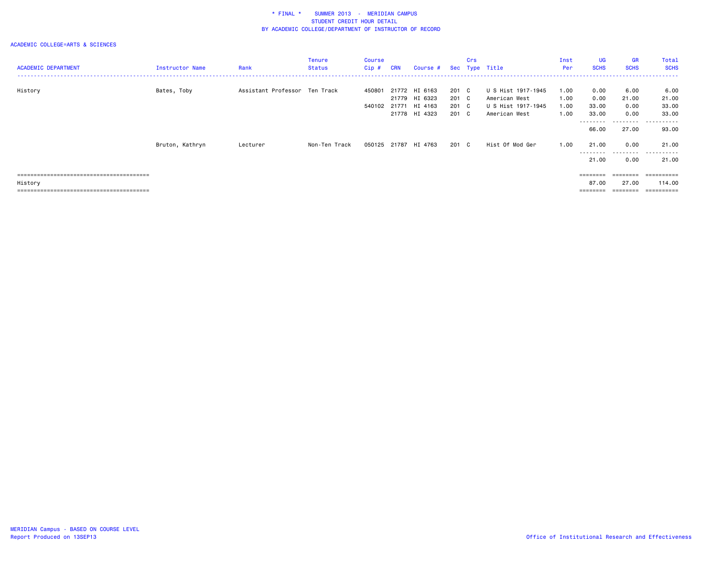| <b>ACADEMIC DEPARTMENT</b> | <b>Instructor Name</b> | Rank                          | Tenure<br><b>Status</b> | Course<br>Cip #  | <b>CRN</b> | Course #                                                         |                                  | Crs | Sec Type Title                                                             | Inst<br>Per                  | UG<br><b>SCHS</b>              | <b>GR</b><br><b>SCHS</b>      | Total<br><b>SCHS</b>                                     |
|----------------------------|------------------------|-------------------------------|-------------------------|------------------|------------|------------------------------------------------------------------|----------------------------------|-----|----------------------------------------------------------------------------|------------------------------|--------------------------------|-------------------------------|----------------------------------------------------------|
| History                    | Bates, Toby            | Assistant Professor Ten Track |                         | 450801<br>540102 |            | 21772 HI 6163<br>21779 HI 6323<br>21771 HI 4163<br>21778 HI 4323 | 201 C<br>201 C<br>201 C<br>201 C |     | U S Hist 1917-1945<br>American West<br>U S Hist 1917-1945<br>American West | 1.00<br>1.00<br>1.00<br>1.00 | 0.00<br>0.00<br>33.00<br>33.00 | 6.00<br>21.00<br>0.00<br>0.00 | 6.00<br>21.00<br>33.00<br>33.00                          |
|                            | Bruton, Kathryn        | Lecturer                      | Non-Ten Track           |                  |            | 050125 21787 HI 4763                                             | 201 C                            |     | Hist Of Mod Ger                                                            | 1.00                         | --------<br>66.00<br>21.00     | .<br>27.00<br>0.00            | .<br>93.00<br>21.00                                      |
|                            |                        |                               |                         |                  |            |                                                                  |                                  |     |                                                                            |                              | --------<br>21.00              | ---------<br>0.00             | .<br>21.00                                               |
| History                    |                        |                               |                         |                  |            |                                                                  |                                  |     |                                                                            |                              | $=$ = = = = = = =<br>87.00     | ========<br>27.00             | $=$ = = = = = = = = =<br>114.00<br>$=$ = = = = = = = = = |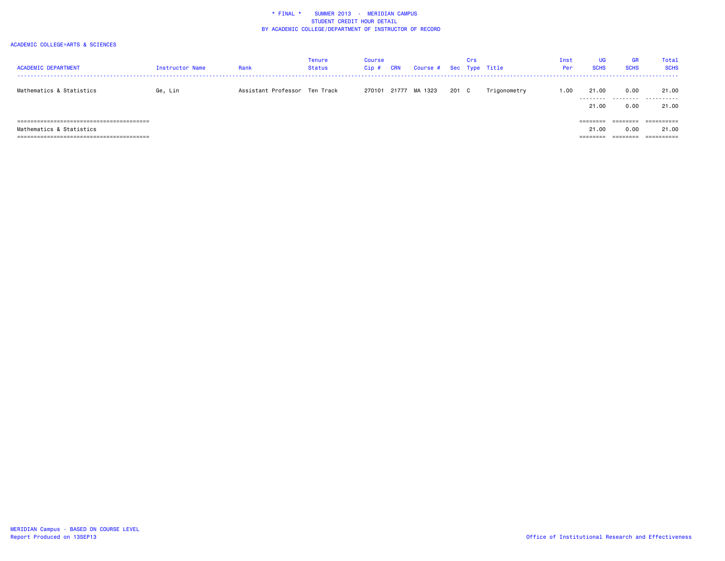| <b>ACADEMIC DEPARTMENT</b> | <b>Instructor Name</b> | Rank                          | Tenure<br><b>Status</b> | Course<br>$Cip$ # | <b>CRN</b> | Course # |     | Crs | Sec Type Title | Inst<br>Per | <b>UG</b><br><b>SCHS</b>      | <b>GR</b><br><b>SCHS</b>     | Total<br><b>SCHS</b>              |
|----------------------------|------------------------|-------------------------------|-------------------------|-------------------|------------|----------|-----|-----|----------------|-------------|-------------------------------|------------------------------|-----------------------------------|
| Mathematics & Statistics   | Ge, Lin                | Assistant Professor Ten Track |                         | 270101            | 21777      | MA 1323  | 201 | C   | Trigonometry   | 1.00        | 21.00<br>.<br>21.00           | 0.00<br>.<br>0.00            | 21.00<br>.<br>21.00               |
| Mathematics & Statistics   |                        |                               |                         |                   |            |          |     |     |                |             | ========<br>21.00<br>-------- | ========<br>0.00<br>======== | ==========<br>21.00<br>========== |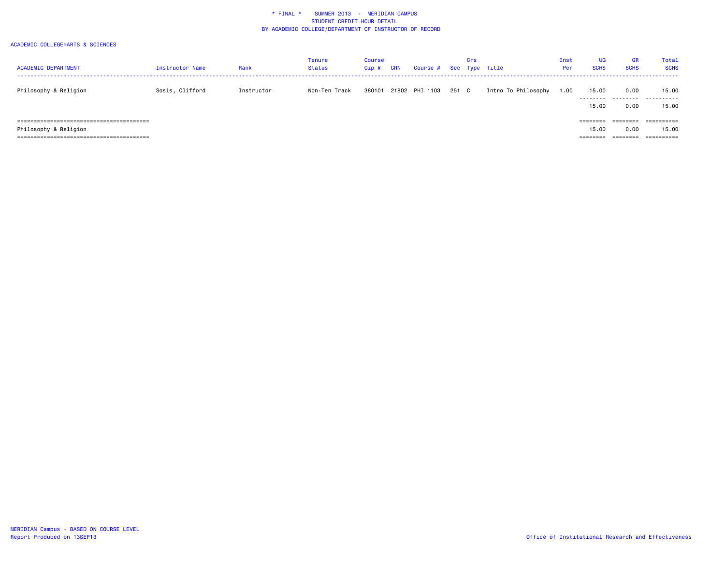| <b>ACADEMIC DEPARTMENT</b> | Instructor Name | Rank       | <b>Tenure</b><br><b>Status</b> | Course<br>$Cip$ # | CRN | Course # Sec Type Title |       | Crs |                     | Inst<br>Per | <b>UG</b><br><b>SCHS</b>               | <b>GR</b><br><b>SCHS</b>     | <b>Total</b><br><b>SCHS</b> |
|----------------------------|-----------------|------------|--------------------------------|-------------------|-----|-------------------------|-------|-----|---------------------|-------------|----------------------------------------|------------------------------|-----------------------------|
| Philosophy & Religion      | Sosis, Clifford | Instructor | Non-Ten Track                  | 380101            |     | 21802 PHI 1103          | 251 C |     | Intro To Philosophy | 00،،        | 15.00<br>---------<br>15.00            | 0.00<br>.<br>0.00            | 15.00<br>.<br>15.00         |
| Philosophy & Religion      |                 |            |                                |                   |     |                         |       |     |                     |             | $=$ = = = = = = =<br>15.00<br>======== | :=======<br>0.00<br>======== | ==========<br>15.00         |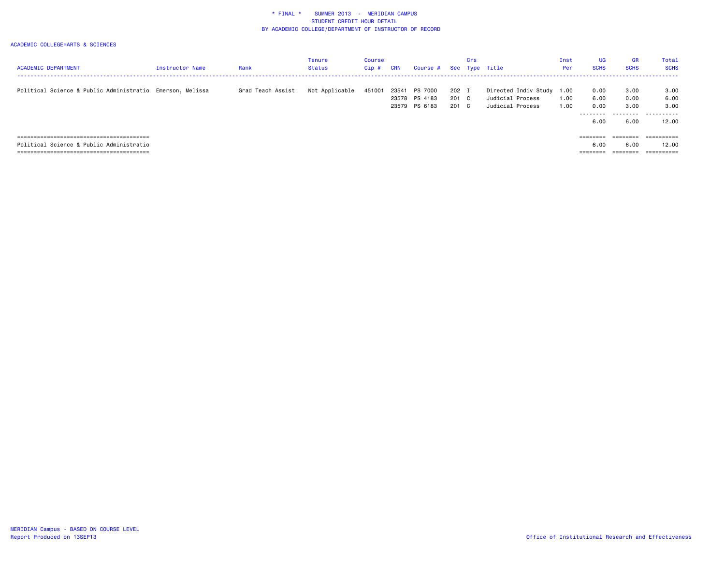| <b>ACADEMIC DEPARTMENT</b>                                | Instructor Name | Rank              | <b>Tenure</b><br>Status | Course<br>Cip# | CRN   | Course # Sec Type Title |       | Crs |                      | Inst<br>Per | UG<br><b>SCHS</b> | GR<br><b>SCHS</b>    | Total<br><b>SCHS</b>     |
|-----------------------------------------------------------|-----------------|-------------------|-------------------------|----------------|-------|-------------------------|-------|-----|----------------------|-------------|-------------------|----------------------|--------------------------|
|                                                           |                 |                   |                         |                |       |                         |       |     |                      |             |                   |                      |                          |
| Political Science & Public Administratio Emerson, Melissa |                 | Grad Teach Assist | Not Applicable          | 451001         | 23541 | PS 7000                 | 202 I |     | Directed Indiv Study | 1.00        | 0.00              | 3.00                 | 3.00                     |
|                                                           |                 |                   |                         |                |       | 23578 PS 4183           | 201 C |     | Judicial Process     | 1.00        | 6.00              | 0.00                 | 6.00                     |
|                                                           |                 |                   |                         |                |       | 23579 PS 6183           | 201 C |     | Judicial Process     | 1.00        | 0.00              | 3.00                 | 3.00                     |
|                                                           |                 |                   |                         |                |       |                         |       |     |                      |             | ---------<br>6.00 | 6.00                 | <br>12.00                |
|                                                           |                 |                   |                         |                |       |                         |       |     |                      |             | ========          | ========             | ==========               |
| Political Science & Public Administratio                  |                 |                   |                         |                |       |                         |       |     |                      |             | 6.00              | 6.00                 | 12.00                    |
|                                                           |                 |                   |                         |                |       |                         |       |     |                      |             | ========          | ________<br>-------- | ----------<br>---------- |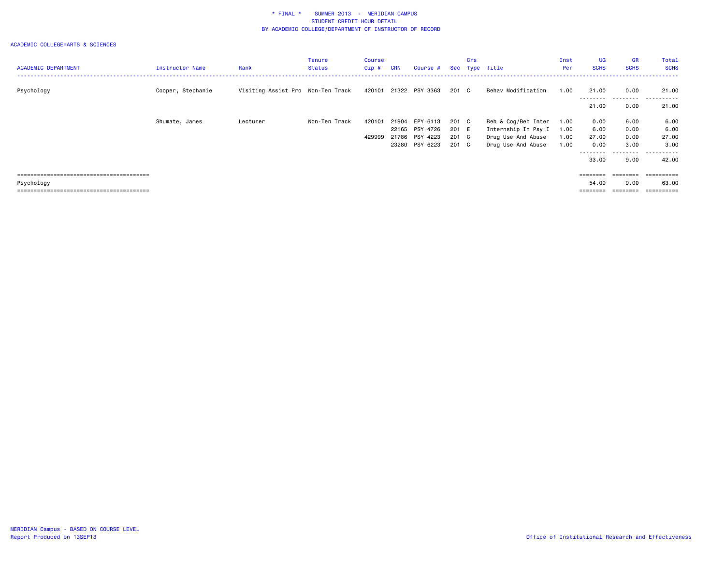| <b>ACADEMIC DEPARTMENT</b> | <b>Instructor Name</b> | Rank                              | <b>Tenure</b><br><b>Status</b> | Course<br>$Cip$ # | <b>CRN</b> | Course #              |       | Crs | Sec Type Title      | Inst<br>Per | <b>UG</b><br><b>SCHS</b>                                                | <b>GR</b><br><b>SCHS</b> | Total<br><b>SCHS</b> |
|----------------------------|------------------------|-----------------------------------|--------------------------------|-------------------|------------|-----------------------|-------|-----|---------------------|-------------|-------------------------------------------------------------------------|--------------------------|----------------------|
| Psychology                 | Cooper, Stephanie      | Visiting Assist Pro Non-Ten Track |                                |                   |            | 420101 21322 PSY 3363 | 201 C |     | Behav Modification  | 1.00        | 21.00<br>---------                                                      | 0.00                     | 21.00<br>.<br>.      |
|                            |                        |                                   |                                |                   |            |                       |       |     |                     |             | 21.00                                                                   | .<br>0.00                | 21.00                |
|                            | Shumate, James         | Lecturer                          | Non-Ten Track                  | 420101            | 21904      | EPY 6113              | 201 C |     | Beh & Cog/Beh Inter | 1.00        | 0.00                                                                    | 6.00                     | 6.00                 |
|                            |                        |                                   |                                |                   |            | 22165 PSY 4726        | 201 E |     | Internship In Psy I | 1.00        | 6.00                                                                    | 0.00                     | 6.00                 |
|                            |                        |                                   |                                | 429999            | 21786      | PSY 4223              | 201 C |     | Drug Use And Abuse  | 1.00        | 27.00                                                                   | 0.00                     | 27.00                |
|                            |                        |                                   |                                |                   | 23280      | PSY 6223              | 201 C |     | Drug Use And Abuse  | 1.00        | 0.00                                                                    | 3.00                     | 3.00                 |
|                            |                        |                                   |                                |                   |            |                       |       |     |                     |             | --------                                                                | ---------                | .                    |
|                            |                        |                                   |                                |                   |            |                       |       |     |                     |             | 33.00                                                                   | 9.00                     | 42.00                |
|                            |                        |                                   |                                |                   |            |                       |       |     |                     |             |                                                                         |                          |                      |
|                            |                        |                                   |                                |                   |            |                       |       |     |                     |             | ========                                                                | ========                 | ==========           |
| Psychology                 |                        |                                   |                                |                   |            |                       |       |     |                     |             | 54.00                                                                   | 9.00                     | 63.00                |
|                            |                        |                                   |                                |                   |            |                       |       |     |                     |             | $\qquad \qquad \equiv \equiv \equiv \equiv \equiv \equiv \equiv \equiv$ |                          | ==========           |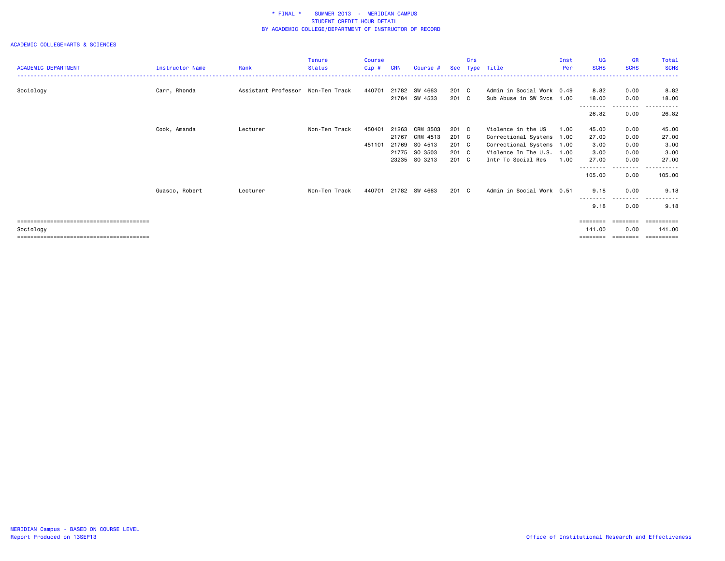|                            |                        |                                   | <b>Tenure</b> | Course |            |               |       | Crs |                           | Inst | <b>UG</b>          | <b>GR</b>         | Total                    |
|----------------------------|------------------------|-----------------------------------|---------------|--------|------------|---------------|-------|-----|---------------------------|------|--------------------|-------------------|--------------------------|
| <b>ACADEMIC DEPARTMENT</b> | <b>Instructor Name</b> | Rank                              | <b>Status</b> | Cip#   | <b>CRN</b> | Course #      | Sec   |     | Type Title                | Per  | <b>SCHS</b>        | <b>SCHS</b>       | <b>SCHS</b>              |
|                            |                        |                                   |               |        |            |               |       |     |                           |      |                    |                   |                          |
| Sociology                  | Carr, Rhonda           | Assistant Professor Non-Ten Track |               | 440701 | 21782      | SW 4663       | 201 C |     | Admin in Social Work 0.49 |      | 8.82               | 0.00              | 8.82                     |
|                            |                        |                                   |               |        | 21784      | SW 4533       | 201 C |     | Sub Abuse in SW Svcs 1.00 |      | 18.00              | 0.00              | 18.00                    |
|                            |                        |                                   |               |        |            |               |       |     |                           |      | --------           | ---------         | ------                   |
|                            |                        |                                   |               |        |            |               |       |     |                           |      | 26.82              | 0.00              | 26.82                    |
|                            | Cook, Amanda           | Lecturer                          | Non-Ten Track | 450401 | 21263      | CRM 3503      | 201 C |     | Violence in the US        | 1.00 | 45.00              | 0.00              | 45.00                    |
|                            |                        |                                   |               |        | 21767      | CRM 4513      | 201 C |     | Correctional Systems 1.00 |      | 27.00              | 0.00              | 27.00                    |
|                            |                        |                                   |               | 451101 | 21769      | SO 4513       | 201 C |     | Correctional Systems 1.00 |      | 3.00               | 0.00              | 3.00                     |
|                            |                        |                                   |               |        | 21775      | SO 3503       | 201 C |     | Violence In The U.S. 1.00 |      | 3.00               | 0.00              | 3.00                     |
|                            |                        |                                   |               |        | 23235      | SO 3213       | 201 C |     | Intr To Social Res        | 1.00 | 27.00              | 0.00              | 27.00                    |
|                            |                        |                                   |               |        |            |               |       |     |                           |      | --------<br>105.00 | ---------<br>0.00 | ------<br>$ -$<br>105.00 |
|                            | Guasco, Robert         | Lecturer                          | Non-Ten Track | 440701 |            | 21782 SW 4663 | 201 C |     | Admin in Social Work 0.51 |      | 9.18               | 0.00<br>.         | 9.18<br>.                |
|                            |                        |                                   |               |        |            |               |       |     |                           |      | ---------<br>9.18  | 0.00              | 9.18                     |
|                            |                        |                                   |               |        |            |               |       |     |                           |      | ========           |                   |                          |
| Sociology                  |                        |                                   |               |        |            |               |       |     |                           |      | 141.00             | 0.00              | 141.00                   |
|                            |                        |                                   |               |        |            |               |       |     |                           |      | ========           | ========          | ==========               |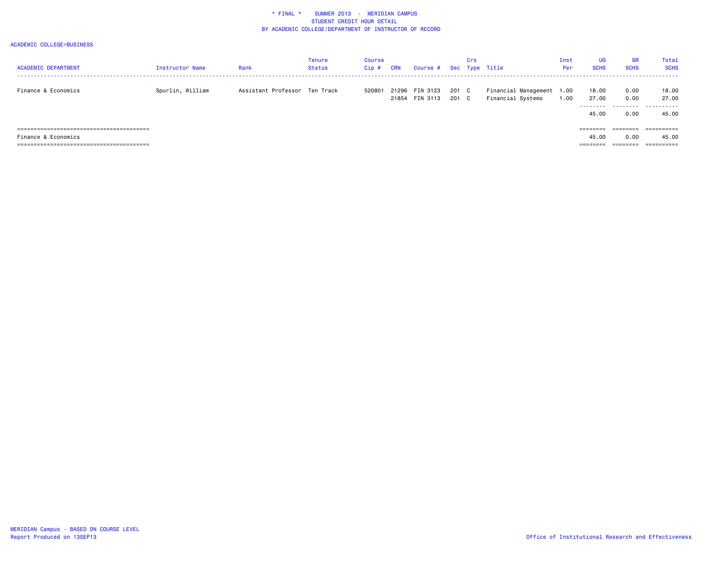| <b>ACADEMIC DEPARTMENT</b> | <b>Instructor Name</b> | Rank                          | Tenure<br>Status | Course<br>Cip# | <b>CRN</b> | Course # Sec Type Title          |              | Crs |                                                | Inst<br>Per | <b>UG</b><br><b>SCHS</b> | <b>GR</b><br><b>SCHS</b> | Total<br><b>SCHS</b> |
|----------------------------|------------------------|-------------------------------|------------------|----------------|------------|----------------------------------|--------------|-----|------------------------------------------------|-------------|--------------------------|--------------------------|----------------------|
| Finance & Economics        | Spurlin, William       | Assistant Professor Ten Track |                  | 520801         |            | 21296 FIN 3123<br>21854 FIN 3113 | 201 C<br>201 | C   | Financial Management 1.00<br>Financial Systems | 1.00        | 18.00<br>27.00           | 0.00<br>0.00             | 18.00<br>27.00       |
|                            |                        |                               |                  |                |            |                                  |              |     |                                                |             | .<br>45.00               | 0.00                     | .<br>45.00           |
|                            |                        |                               |                  |                |            |                                  |              |     |                                                |             | --------                 | =======                  | .                    |
| Finance & Economics        |                        |                               |                  |                |            |                                  |              |     |                                                |             | 45.00                    | 0.00                     | 45.00                |
|                            |                        |                               |                  |                |            |                                  |              |     |                                                |             | --------                 | --------<br>--------     | ==========           |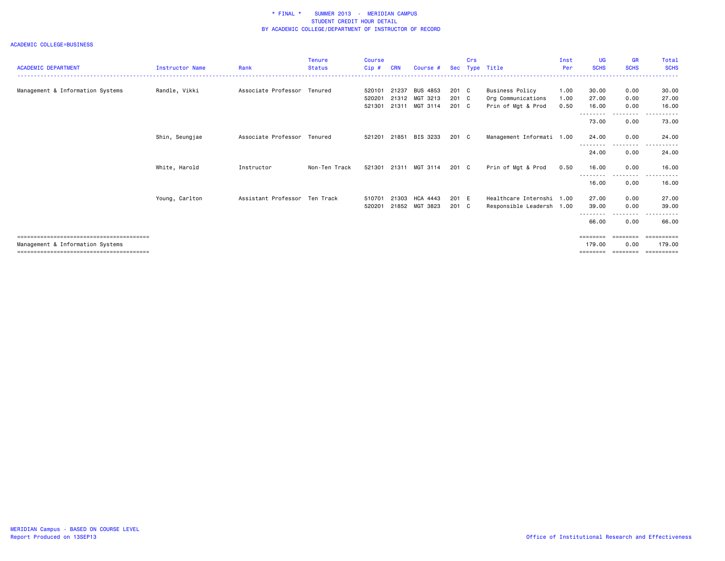| <b>ACADEMIC DEPARTMENT</b>       | <b>Instructor Name</b> | Rank                          | <b>Tenure</b><br><b>Status</b> | <b>Course</b><br>$Cip$ # | CRN   | Course #              | <b>Sec</b> | Crs | Type Title                | Inst<br>Per | <b>UG</b><br><b>SCHS</b> | <b>GR</b><br><b>SCHS</b> | Total<br><b>SCHS</b>               |
|----------------------------------|------------------------|-------------------------------|--------------------------------|--------------------------|-------|-----------------------|------------|-----|---------------------------|-------------|--------------------------|--------------------------|------------------------------------|
|                                  |                        |                               |                                |                          |       |                       |            |     |                           |             |                          |                          |                                    |
| Management & Information Systems | Randle, Vikki          | Associate Professor Tenured   |                                | 520101                   | 21237 | <b>BUS 4853</b>       | 201 C      |     | Business Policy           | 1.00        | 30.00                    | 0.00                     | 30.00                              |
|                                  |                        |                               |                                | 520201                   |       | 21312 MGT 3213        | 201 C      |     | Org Communications        | 1.00        | 27.00                    | 0.00                     | 27.00                              |
|                                  |                        |                               |                                | 521301                   |       | 21311 MGT 3114        | 201 C      |     | Prin of Mgt & Prod        | 0.50        | 16.00                    | 0.00                     | 16.00                              |
|                                  |                        |                               |                                |                          |       |                       |            |     |                           |             | --------                 | ---------                | .                                  |
|                                  |                        |                               |                                |                          |       |                       |            |     |                           |             | 73.00                    | 0.00                     | 73.00                              |
|                                  | Shin, Seungjae         | Associate Professor Tenured   |                                | 521201                   | 21851 | BIS 3233              | 201 C      |     | Management Informati 1.00 |             | 24.00                    | 0.00                     | 24.00                              |
|                                  |                        |                               |                                |                          |       |                       |            |     |                           |             | ---------<br>24,00       | .<br>0.00                | $\sim$ $\sim$ $\sim$<br>.<br>24.00 |
|                                  | White, Harold          | Instructor                    | Non-Ten Track                  |                          |       | 521301 21311 MGT 3114 | 201 C      |     | Prin of Mgt & Prod        | 0.50        | 16.00                    | 0.00                     | 16.00                              |
|                                  |                        |                               |                                |                          |       |                       |            |     |                           |             | .                        |                          |                                    |
|                                  |                        |                               |                                |                          |       |                       |            |     |                           |             | 16.00                    | 0.00                     | 16.00                              |
|                                  | Young, Carlton         | Assistant Professor Ten Track |                                | 510701                   | 21303 | HCA 4443              | 201 E      |     | Healthcare Internshi 1.00 |             | 27.00                    | 0.00                     | 27.00                              |
|                                  |                        |                               |                                | 520201                   | 21852 | MGT 3823              | 201 C      |     | Responsible Leadersh 1.00 |             | 39.00                    | 0.00                     | 39.00                              |
|                                  |                        |                               |                                |                          |       |                       |            |     |                           |             | 66.00                    | 0.00                     | 66.00                              |
|                                  |                        |                               |                                |                          |       |                       |            |     |                           |             | ========                 | ========                 | ==========                         |
| Management & Information Systems |                        |                               |                                |                          |       |                       |            |     |                           |             | 179.00                   | 0.00                     | 179.00                             |
|                                  |                        |                               |                                |                          |       |                       |            |     |                           |             | ========                 | ========                 | ==========                         |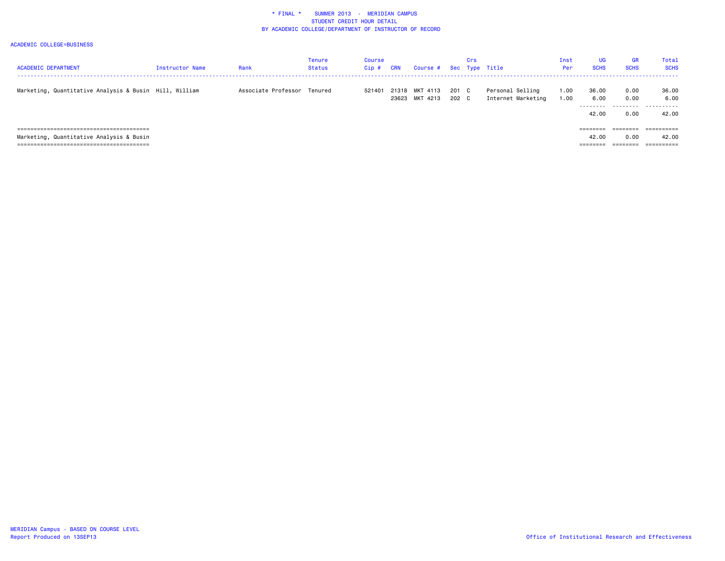| <b>ACADEMIC DEPARTMENT</b>                             | <b>Instructor Name</b> | Rank                        | <b>Tenure</b><br>Status | Course<br>Cip# | CRN | Course # Sec Type Title          |                | Crs |                                        | Inst<br>Per  | <b>UG</b><br><b>SCHS</b> | <b>GR</b><br><b>SCHS</b> | Total<br><b>SCHS</b> |
|--------------------------------------------------------|------------------------|-----------------------------|-------------------------|----------------|-----|----------------------------------|----------------|-----|----------------------------------------|--------------|--------------------------|--------------------------|----------------------|
| Marketing, Quantitative Analysis & Busin Hill, William |                        | Associate Professor Tenured |                         | 521401         |     | 21318 MKT 4113<br>23623 MKT 4213 | 201 C<br>202 C |     | Personal Selling<br>Internet Marketing | 1.00<br>1.00 | 36.00<br>6.00            | 0.00<br>0.00             | 36.00<br>6.00        |
|                                                        |                        |                             |                         |                |     |                                  |                |     |                                        |              | ---------<br>42.00       | 0.00                     | .<br>42.00           |
|                                                        |                        |                             |                         |                |     |                                  |                |     |                                        |              |                          | ========                 | ==========           |
| Marketing, Quantitative Analysis & Busin               |                        |                             |                         |                |     |                                  |                |     |                                        |              | 42.00                    | 0.00                     | 42.00                |
|                                                        |                        |                             |                         |                |     |                                  |                |     |                                        |              | ---------<br>--------    | ________<br>--------     | ==========           |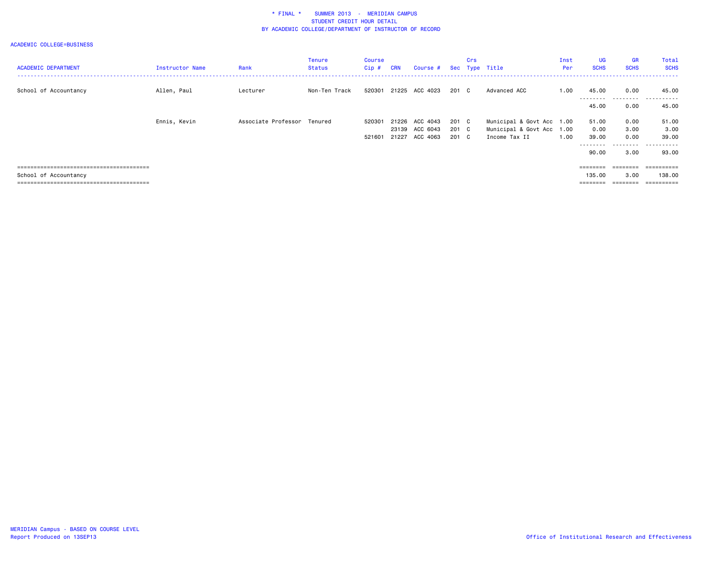| <b>ACADEMIC DEPARTMENT</b>         | Instructor Name | Rank                        | <b>Tenure</b><br><b>Status</b> | Course<br>Cip# | <b>CRN</b> | Course #                   |                | Crs | Sec Type Title                             | Inst<br>Per | <b>UG</b><br><b>SCHS</b> | GR<br><b>SCHS</b> | Total<br><b>SCHS</b> |
|------------------------------------|-----------------|-----------------------------|--------------------------------|----------------|------------|----------------------------|----------------|-----|--------------------------------------------|-------------|--------------------------|-------------------|----------------------|
| School of Accountancy              | Allen, Paul     | Lecturer                    | Non-Ten Track                  | 520301         |            | 21225 ACC 4023             | 201 C          |     | Advanced ACC                               | 1.00        | 45.00<br>---------       | 0.00              | 45.00                |
|                                    |                 |                             |                                |                |            |                            |                |     |                                            |             | 45.00                    | 0.00              | 45.00                |
|                                    | Ennis, Kevin    | Associate Professor Tenured |                                | 520301         |            | 21226 ACC 4043             | 201 C          |     | Municipal & Govt Acc 1.00                  |             | 51.00                    | 0.00              | 51.00                |
|                                    |                 |                             |                                | 521601         | 21227      | 23139 ACC 6043<br>ACC 4063 | 201 C<br>201 C |     | Municipal & Govt Acc 1.00<br>Income Tax II | 1.00        | 0.00<br>39.00            | 3.00<br>0.00      | 3.00<br>39.00        |
|                                    |                 |                             |                                |                |            |                            |                |     |                                            |             | ---------<br>90.00       | 3.00              | 93.00                |
|                                    |                 |                             |                                |                |            |                            |                |     |                                            |             | $=$ = = = = = = =        | $=$ = = = = = = = | eessesses            |
| School of Accountancy              |                 |                             |                                |                |            |                            |                |     |                                            |             | 135,00                   | 3.00              | 138,00               |
| ;================================= |                 |                             |                                |                |            |                            |                |     |                                            |             | --------                 | $=$ = = = = = = = | ==========           |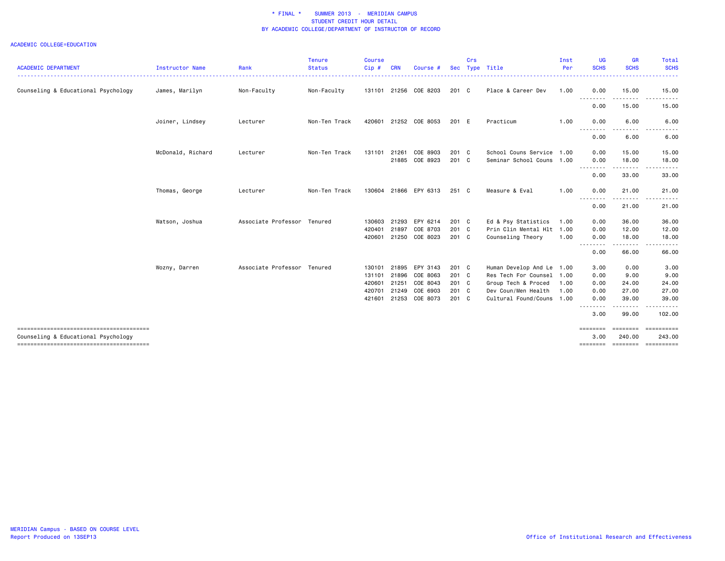| <b>ACADEMIC DEPARTMENT</b>             | <b>Instructor Name</b> | Rank                        | <b>Tenure</b><br><b>Status</b> | <b>Course</b><br>Cip# | CRN   | Course #                   | <b>Sec</b>     | Crs | Type Title                | Inst<br>Per | <b>UG</b><br><b>SCHS</b> | <b>GR</b><br><b>SCHS</b> | Total<br><b>SCHS</b>                                                                                                                                 |
|----------------------------------------|------------------------|-----------------------------|--------------------------------|-----------------------|-------|----------------------------|----------------|-----|---------------------------|-------------|--------------------------|--------------------------|------------------------------------------------------------------------------------------------------------------------------------------------------|
|                                        |                        |                             |                                |                       |       |                            |                |     |                           |             |                          |                          |                                                                                                                                                      |
| Counseling & Educational Psychology    | James, Marilyn         | Non-Faculty                 | Non-Faculty                    | 131101                |       | 21256 COE 8203             | 201 C          |     | Place & Career Dev        | 1.00        | 0.00                     | 15.00                    | 15.00                                                                                                                                                |
|                                        |                        |                             |                                |                       |       |                            |                |     |                           |             | 0.00                     | .<br>15.00               | $\frac{1}{2}$<br>------<br>15.00                                                                                                                     |
|                                        | Joiner, Lindsey        | Lecturer                    | Non-Ten Track                  | 420601                |       | 21252 COE 8053             | 201 E          |     | Practicum                 | 1.00        | 0.00<br>- - - - - - - -  | 6.00<br>$\frac{1}{2}$    | 6.00                                                                                                                                                 |
|                                        |                        |                             |                                |                       |       |                            |                |     |                           |             | 0.00                     | 6.00                     | 6.00                                                                                                                                                 |
|                                        | McDonald, Richard      | Lecturer                    | Non-Ten Track                  | 131101                | 21261 | COE 8903                   | 201 C          |     | School Couns Service 1.00 |             | 0.00                     | 15.00                    | 15.00                                                                                                                                                |
|                                        |                        |                             |                                |                       |       | 21885 COE 8923             | 201 C          |     | Seminar School Couns 1.00 |             | 0.00<br>.                | 18.00<br>.               | 18.00<br>.                                                                                                                                           |
|                                        |                        |                             |                                |                       |       |                            |                |     |                           |             | 0.00                     | 33.00                    | 33.00                                                                                                                                                |
|                                        | Thomas, George         | Lecturer                    | Non-Ten Track                  |                       |       | 130604 21866 EPY 6313      | 251 C          |     | Measure & Eval            | 1.00        | 0.00<br>- - - - - - - -  | 21.00<br>. <b>.</b>      | 21.00                                                                                                                                                |
|                                        |                        |                             |                                |                       |       |                            |                |     |                           |             | 0.00                     | 21.00                    | 21.00                                                                                                                                                |
|                                        | Watson, Joshua         | Associate Professor Tenured |                                | 130603                | 21293 | EPY 6214                   | 201 C          |     | Ed & Psy Statistics       | 1.00        | 0.00                     | 36.00                    | 36.00                                                                                                                                                |
|                                        |                        |                             |                                | 420401<br>420601      | 21897 | COE 8703<br>21250 COE 8023 | 201 C<br>201 C |     | Prin Clin Mental Hlt 1.00 | 1.00        | 0.00<br>0.00             | 12.00<br>18.00           | 12.00<br>18.00                                                                                                                                       |
|                                        |                        |                             |                                |                       |       |                            |                |     | Counseling Theory         |             | --------                 | -----                    | $\frac{1}{2} \left( \frac{1}{2} \right) \left( \frac{1}{2} \right) \left( \frac{1}{2} \right) \left( \frac{1}{2} \right) \left( \frac{1}{2} \right)$ |
|                                        |                        |                             |                                |                       |       |                            |                |     |                           |             | 0.00                     | 66.00                    | 66.00                                                                                                                                                |
|                                        | Wozny, Darren          | Associate Professor Tenured |                                | 130101                | 21895 | EPY 3143                   | 201 C          |     | Human Develop And Le      | 1.00        | 3.00                     | 0.00                     | 3.00                                                                                                                                                 |
|                                        |                        |                             |                                | 131101                | 21896 | COE 8063                   | 201 C          |     | Res Tech For Counsel      | 1.00        | 0.00                     | 9.00                     | 9.00                                                                                                                                                 |
|                                        |                        |                             |                                | 420601                | 21251 | COE 8043                   | 201 C          |     | Group Tech & Proced       | 1.00        | 0.00                     | 24.00                    | 24.00                                                                                                                                                |
|                                        |                        |                             |                                | 420701                | 21249 | COE 6903                   | 201 C          |     | Dev Coun/Men Health       | 1.00        | 0.00                     | 27.00                    | 27.00                                                                                                                                                |
|                                        |                        |                             |                                | 421601                |       | 21253 COE 8073             | 201 C          |     | Cultural Found/Couns 1.00 |             | 0.00<br><u>.</u>         | 39,00<br>.               | 39.00                                                                                                                                                |
|                                        |                        |                             |                                |                       |       |                            |                |     |                           |             | 3.00                     | 99.00                    | 102.00                                                                                                                                               |
| Counseling & Educational Psychology    |                        |                             |                                |                       |       |                            |                |     |                           |             | <b>EBBEBBE</b><br>3,00   | 240.00                   | ========= ==========<br>243,00                                                                                                                       |
| -------------------------------------- |                        |                             |                                |                       |       |                            |                |     |                           |             | ========                 |                          | ======== =========                                                                                                                                   |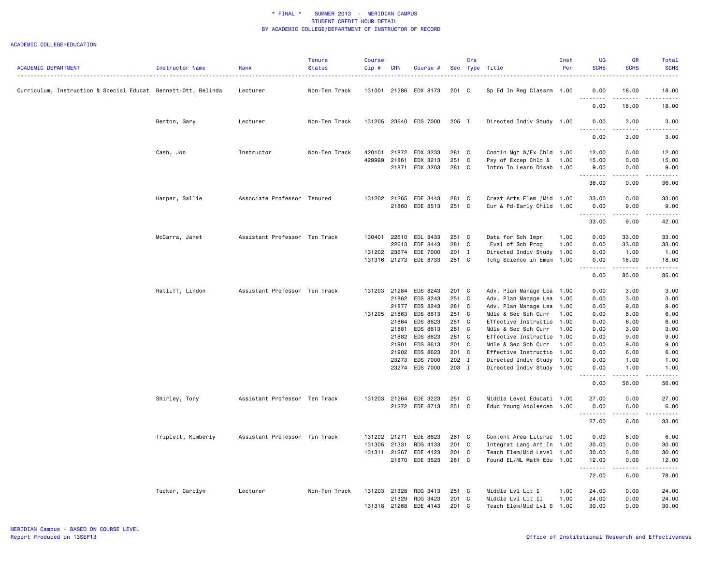|                                                               |                    |                               | <b>Tenure</b> | <b>Course</b> |            |                 |            | Crs |                            | Inst | <b>UG</b>                      | GR                                                                                                                                                           | Total                                                                                                                                                |
|---------------------------------------------------------------|--------------------|-------------------------------|---------------|---------------|------------|-----------------|------------|-----|----------------------------|------|--------------------------------|--------------------------------------------------------------------------------------------------------------------------------------------------------------|------------------------------------------------------------------------------------------------------------------------------------------------------|
| <b>ACADEMIC DEPARTMENT</b>                                    | Instructor Name    | Rank                          | <b>Status</b> | $Cip$ #       | <b>CRN</b> | Course          | <b>Sec</b> |     | Type Title                 | Per  | <b>SCHS</b>                    | <b>SCHS</b>                                                                                                                                                  | <b>SCHS</b><br>.                                                                                                                                     |
| Curriculum, Instruction & Special Educat Bennett-Ott, Belinda |                    | Lecturer                      | Non-Ten Track | 131001        | 21286      | EDX 8173        | 201 C      |     | Sp Ed In Reg Classrm 1.00  |      | 0.00<br>.                      | 18.00<br>$- - - - -$                                                                                                                                         | 18.00<br>.                                                                                                                                           |
|                                                               |                    |                               |               |               |            |                 |            |     |                            |      | $\sim$ $\sim$<br>0.00          | 18.00                                                                                                                                                        | 18.00                                                                                                                                                |
|                                                               | Benton, Gary       | Lecturer                      | Non-Ten Track | 131205        |            | 23640 EDS 7000  | 205 I      |     | Directed Indiv Study 1.00  |      | 0.00                           | 3.00                                                                                                                                                         | 3.00                                                                                                                                                 |
|                                                               |                    |                               |               |               |            |                 |            |     |                            |      | 0.00                           | 3.00                                                                                                                                                         | 3.00                                                                                                                                                 |
|                                                               | Cash, Jon          | Instructor                    | Non-Ten Track | 420101        | 21872      | EDX 3233        | 281 C      |     | Contin Mgt W/Ex Chld 1.00  |      | 12.00                          | 0.00                                                                                                                                                         | 12.00                                                                                                                                                |
|                                                               |                    |                               |               | 429999        | 21861      | EDX 3213        | 251 C      |     | Psy of Excep Chld &        | 1.00 | 15.00                          | 0.00                                                                                                                                                         | 15.00                                                                                                                                                |
|                                                               |                    |                               |               |               | 21871      | EDX 3203        | 281 C      |     | Intro To Learn Disab 1.00  |      | 9.00<br>.                      | 0.00<br>.                                                                                                                                                    | 9.00<br>.                                                                                                                                            |
|                                                               |                    |                               |               |               |            |                 |            |     |                            |      | 36.00                          | 0.00                                                                                                                                                         | 36.00                                                                                                                                                |
|                                                               | Harper, Sallie     | Associate Professor Tenured   |               | 131202 21265  |            | EDE 3443        | 281 C      |     | Creat Arts Elem / Mid 1.00 |      | 33.00                          | 0.00                                                                                                                                                         | 33.00                                                                                                                                                |
|                                                               |                    |                               |               |               | 21860      | EDE 8513        | 251 C      |     | Cur & Pd-Early Child 1.00  |      | 0.00                           | 9.00                                                                                                                                                         | 9.00                                                                                                                                                 |
|                                                               |                    |                               |               |               |            |                 |            |     |                            |      | .                              | .                                                                                                                                                            | $\frac{1}{2} \left( \frac{1}{2} \right) \left( \frac{1}{2} \right) \left( \frac{1}{2} \right) \left( \frac{1}{2} \right) \left( \frac{1}{2} \right)$ |
|                                                               |                    |                               |               |               |            |                 |            |     |                            |      | 33.00                          | 9.00                                                                                                                                                         | 42.00                                                                                                                                                |
|                                                               | McCarra, Janet     | Assistant Professor Ten Track |               | 130401        | 22610      | EDL 8433        | 251 C      |     | Data for Sch Impr          | 1.00 | 0.00                           | 33.00                                                                                                                                                        | 33.00                                                                                                                                                |
|                                                               |                    |                               |               |               | 22613      | EDF 8443        | 281 C      |     | Eval of Sch Prog           | 1.00 | 0.00                           | 33.00                                                                                                                                                        | 33.00                                                                                                                                                |
|                                                               |                    |                               |               | 131202        | 23674      | EDE 7000        | 201 I      |     | Directed Indiv Study 1.00  |      | 0.00                           | 1.00                                                                                                                                                         | 1.00                                                                                                                                                 |
|                                                               |                    |                               |               | 131316        | 21273      | EDE 8733        | 251 C      |     | Tchg Science in Emem 1.00  |      | 0.00<br>. <b>.</b><br>$ -$     | 18,00<br>.                                                                                                                                                   | 18.00<br>المتمالين                                                                                                                                   |
|                                                               |                    |                               |               |               |            |                 |            |     |                            |      | 0.00                           | 85.00                                                                                                                                                        | 85.00                                                                                                                                                |
|                                                               | Ratliff, Lindon    | Assistant Professor Ten Track |               | 131203        | 21284      | EDS 8243        | 201 C      |     | Adv. Plan Manage Lea 1.00  |      | 0.00                           | 3.00                                                                                                                                                         | 3.00                                                                                                                                                 |
|                                                               |                    |                               |               |               | 21862      | EDS 8243        | 251 C      |     | Adv. Plan Manage Lea 1.00  |      | 0.00                           | 3.00                                                                                                                                                         | 3.00                                                                                                                                                 |
|                                                               |                    |                               |               |               | 21877      | EDS 8243        | 281 C      |     | Adv. Plan Manage Lea 1.00  |      | 0.00                           | 9.00                                                                                                                                                         | 9.00                                                                                                                                                 |
|                                                               |                    |                               |               | 131205 21863  |            | EDS 8613        | 251 C      |     | Mdle & Sec Sch Curr        | 1.00 | 0.00                           | 6.00                                                                                                                                                         | 6.00                                                                                                                                                 |
|                                                               |                    |                               |               |               | 21864      | EDS 8623        | 251 C      |     | Effective Instructio 1.00  |      | 0.00                           | 6.00                                                                                                                                                         | 6.00                                                                                                                                                 |
|                                                               |                    |                               |               |               | 21881      | EDS 8613        | 281 C      |     | Mdle & Sec Sch Curr        | 1.00 | 0.00                           | 3.00                                                                                                                                                         | 3.00                                                                                                                                                 |
|                                                               |                    |                               |               |               | 21882      | EDS 8623        | 281 C      |     | Effective Instructio 1.00  |      | 0.00                           | 9.00                                                                                                                                                         | 9.00                                                                                                                                                 |
|                                                               |                    |                               |               |               | 21901      | EDS 8613        | 201 C      |     | Mdle & Sec Sch Curr        | 1.00 | 0.00                           | 9.00                                                                                                                                                         | 9.00                                                                                                                                                 |
|                                                               |                    |                               |               |               | 21902      | EDS 8623        | 201 C      |     | Effective Instructio 1.00  |      | 0.00                           | 6.00                                                                                                                                                         | 6.00                                                                                                                                                 |
|                                                               |                    |                               |               |               | 23273      | <b>EDS 7000</b> | 202 I      |     | Directed Indiv Study 1.00  |      | 0.00                           | 1.00                                                                                                                                                         | 1.00                                                                                                                                                 |
|                                                               |                    |                               |               |               |            | 23274 EDS 7000  | 203 I      |     | Directed Indiv Study 1.00  |      | 0.00<br>-----<br>$\sim$ $\sim$ | 1.00<br>$\frac{1}{2} \left( \frac{1}{2} \right) \left( \frac{1}{2} \right) \left( \frac{1}{2} \right) \left( \frac{1}{2} \right) \left( \frac{1}{2} \right)$ | 1.00<br>.                                                                                                                                            |
|                                                               |                    |                               |               |               |            |                 |            |     |                            |      | 0.00                           | 56.00                                                                                                                                                        | 56.00                                                                                                                                                |
|                                                               | Shirley, Tory      | Assistant Professor Ten Track |               | 131203        | 21264      | EDE 3223        | 251 C      |     | Middle Level Educati 1.00  |      | 27.00                          | 0.00                                                                                                                                                         | 27.00                                                                                                                                                |
|                                                               |                    |                               |               |               | 21272      | EDE 8713        | 251 C      |     | Educ Young Adolescen 1.00  |      | 0.00                           | 6.00                                                                                                                                                         | 6.00                                                                                                                                                 |
|                                                               |                    |                               |               |               |            |                 |            |     |                            |      | <u>.</u><br>27.00              | $\sim$ $\sim$ $\sim$ $\sim$<br>6.00                                                                                                                          | <u>.</u><br>33.00                                                                                                                                    |
|                                                               | Triplett, Kimberly | Assistant Professor Ten Track |               | 131202        | 21271      | EDE 8623        | 281 C      |     | Content Area Literac 1.00  |      | 0.00                           | 6.00                                                                                                                                                         | 6.00                                                                                                                                                 |
|                                                               |                    |                               |               | 131305        | 21331      | RDG 4133        | 201 C      |     | Integrat Lang Art In 1.00  |      | 30.00                          | 0.00                                                                                                                                                         | 30.00                                                                                                                                                |
|                                                               |                    |                               |               | 131311 21267  |            | EDE 4123        | 201 C      |     | Teach Elem/Mid Level 1.00  |      | 30.00                          | 0.00                                                                                                                                                         | 30.00                                                                                                                                                |
|                                                               |                    |                               |               |               | 21870      | EDE 3523        | 281 C      |     | Found EL/ML Math Edu 1.00  |      | 12.00<br>.                     | 0.00<br>.                                                                                                                                                    | 12.00<br>.                                                                                                                                           |
|                                                               |                    |                               |               |               |            |                 |            |     |                            |      | 72.00                          | 6.00                                                                                                                                                         | 78.00                                                                                                                                                |
|                                                               | Tucker, Carolyn    | Lecturer                      | Non-Ten Track | 131203        | 21328      | RDG 3413        | 251 C      |     | Middle Lvl Lit I           | 1.00 | 24.00                          | 0.00                                                                                                                                                         | 24.00                                                                                                                                                |
|                                                               |                    |                               |               |               | 21329      | RDG 3423        | 201 C      |     | Middle Lvl Lit II          | 1.00 | 24.00                          | 0.00                                                                                                                                                         | 24.00                                                                                                                                                |
|                                                               |                    |                               |               | 131318        | 21268      | EDE 4143        | 201 C      |     | Teach Elem/Mid Lvl S 1.00  |      | 30.00                          | 0.00                                                                                                                                                         | 30.00                                                                                                                                                |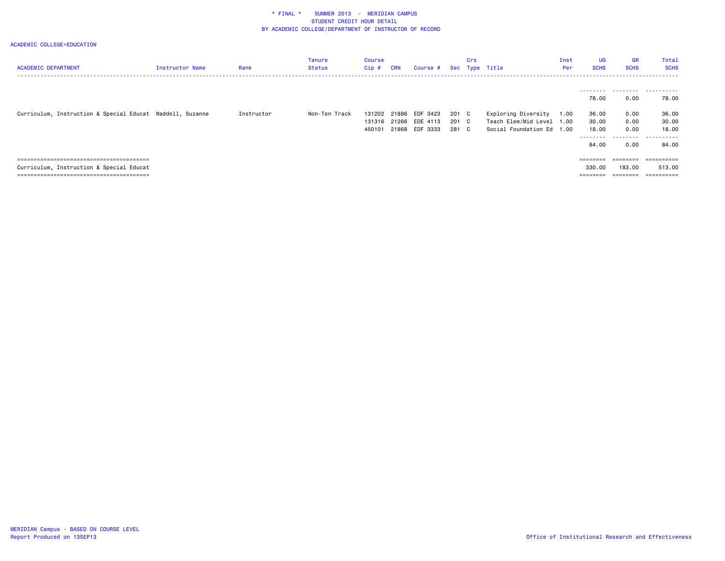| <b>ACADEMIC DEPARTMENT</b>                                | Instructor Name | Rank       | Tenure<br><b>Status</b> | Course<br>Cip#             | <b>CRN</b>              | Course # Sec Type Title          |                         | Crs |                                                                          | Inst<br>Per  | <b>UG</b><br><b>SCHS</b>                      | GR<br><b>SCHS</b>                                                                                      | Total<br><b>SCHS</b>                  |
|-----------------------------------------------------------|-----------------|------------|-------------------------|----------------------------|-------------------------|----------------------------------|-------------------------|-----|--------------------------------------------------------------------------|--------------|-----------------------------------------------|--------------------------------------------------------------------------------------------------------|---------------------------------------|
|                                                           |                 |            |                         |                            |                         |                                  |                         |     |                                                                          |              | 78.00                                         | 0.00                                                                                                   | <br>78.00                             |
| Curriculum, Instruction & Special Educat Waddell, Suzanne |                 | Instructor | Non-Ten Track           | 131202<br>131316<br>450101 | 21886<br>21266<br>21868 | EDF 3423<br>EDE 4113<br>EDF 3333 | 201 C<br>201 C<br>281 C |     | Exploring Diversity<br>Teach Elem/Mid Level 1.00<br>Social Foundation Ed | 1.00<br>1.00 | 36.00<br>30.00<br>18,00<br>---------<br>84.00 | 0.00<br>0.00<br>0.00<br>.<br>0.00                                                                      | 36.00<br>30.00<br>18,00<br>.<br>84.00 |
| Curriculum, Instruction & Special Educat                  |                 |            |                         |                            |                         |                                  |                         |     |                                                                          |              | 330.00<br>$=$ = = = = = = =                   | $\qquad \qquad \equiv \equiv \equiv \equiv \equiv \equiv \equiv \equiv$<br>183.00<br>$=$ = = = = = = = | ==========<br>513.00                  |